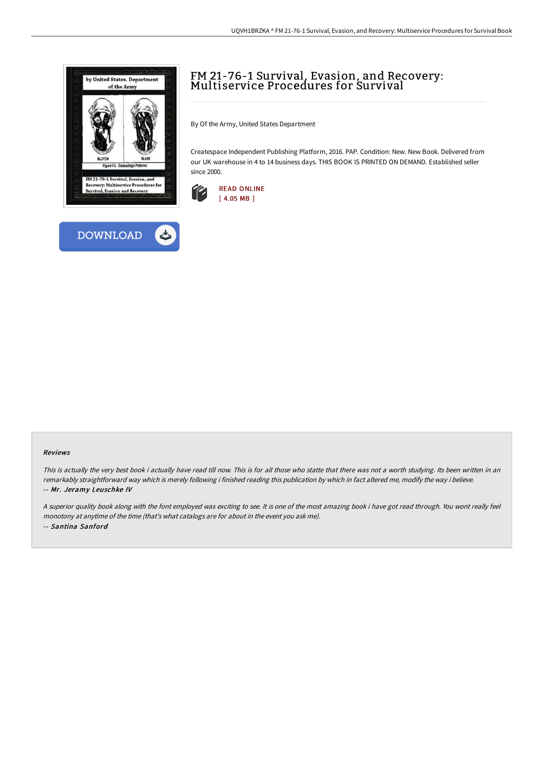



## FM 21-76-1 Survival, Evasion, and Recovery: Multiservice Procedures for Survival

By Of the Army, United States Department

Createspace Independent Publishing Platform, 2016. PAP. Condition: New. New Book. Delivered from our UK warehouse in 4 to 14 business days. THIS BOOK IS PRINTED ON DEMAND. Established seller since 2000.



#### Reviews

This is actually the very best book i actually have read till now. This is for all those who statte that there was not a worth studying. Its been written in an remarkably straightforward way which is merely following i finished reading this publication by which in fact altered me, modify the way i believe. -- Mr. Jeramy Leuschke IV

<sup>A</sup> superior quality book along with the font employed was exciting to see. It is one of the most amazing book i have got read through. You wont really feel monotony at anytime of the time (that's what catalogs are for about in the event you ask me). -- Santina Sanford